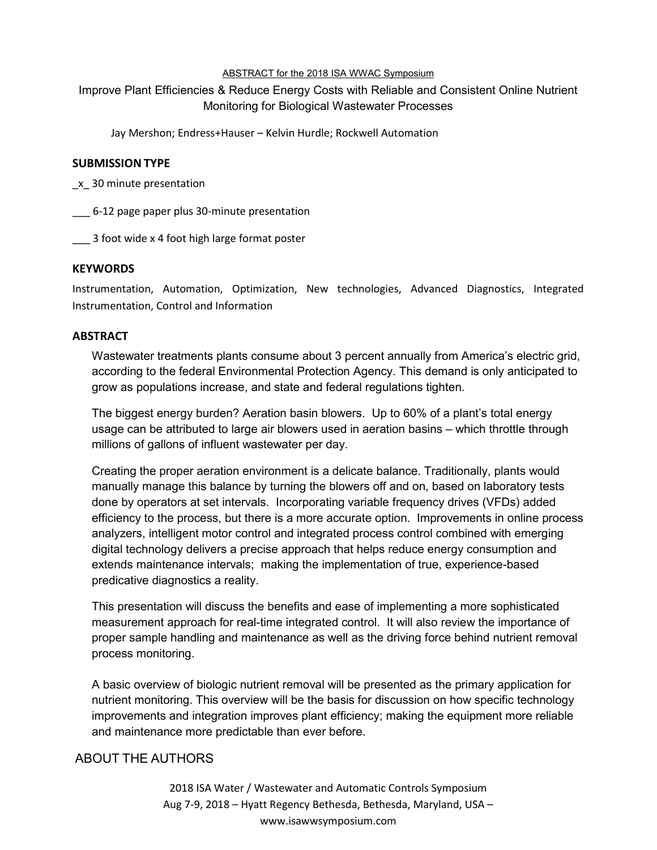#### ABSTRACT for the 2018 ISA WWAC Symposium

# Improve Plant Efficiencies & Reduce Energy Costs with Reliable and Consistent Online Nutrient Monitoring for Biological Wastewater Processes

Jay Mershon; Endress+Hauser – Kelvin Hurdle; Rockwell Automation

### **SUBMISSION TYPE**

\_x\_ 30 minute presentation

\_\_\_ 6-12 page paper plus 30-minute presentation

\_\_\_ 3 foot wide x 4 foot high large format poster

### **KEYWORDS**

Instrumentation, Automation, Optimization, New technologies, Advanced Diagnostics, Integrated Instrumentation, Control and Information

### **ABSTRACT**

Wastewater treatments plants consume about 3 percent annually from America's electric grid, according to the federal Environmental Protection Agency. This demand is only anticipated to grow as populations increase, and state and federal regulations tighten.

The biggest energy burden? Aeration basin blowers. Up to 60% of a plant's total energy usage can be attributed to large air blowers used in aeration basins – which throttle through millions of gallons of influent wastewater per day.

Creating the proper aeration environment is a delicate balance. Traditionally, plants would manually manage this balance by turning the blowers off and on, based on laboratory tests done by operators at set intervals. Incorporating variable frequency drives (VFDs) added efficiency to the process, but there is a more accurate option. Improvements in online process analyzers, intelligent motor control and integrated process control combined with emerging digital technology delivers a precise approach that helps reduce energy consumption and extends maintenance intervals; making the implementation of true, experience-based predicative diagnostics a reality.

This presentation will discuss the benefits and ease of implementing a more sophisticated measurement approach for real-time integrated control. It will also review the importance of proper sample handling and maintenance as well as the driving force behind nutrient removal process monitoring.

A basic overview of biologic nutrient removal will be presented as the primary application for nutrient monitoring. This overview will be the basis for discussion on how specific technology improvements and integration improves plant efficiency; making the equipment more reliable and maintenance more predictable than ever before.

## ABOUT THE AUTHORS

2018 ISA Water / Wastewater and Automatic Controls Symposium Aug 7-9, 2018 – Hyatt Regency Bethesda, Bethesda, Maryland, USA – www.isawwsymposium.com